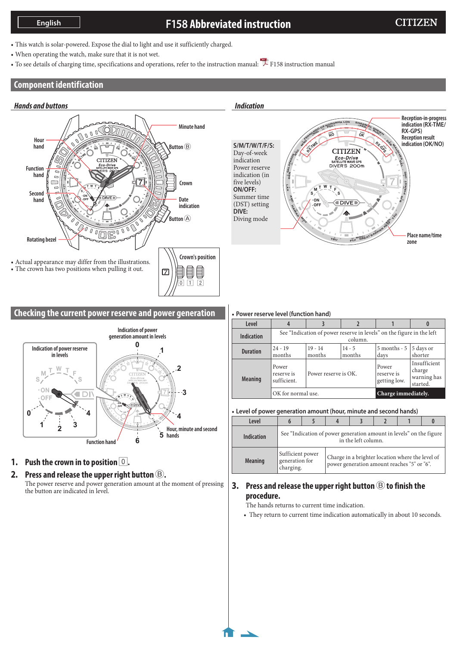# **F158 Abbreviated instruction**

- This watch is solar-powered. Expose the dial to light and use it sufficiently charged.
- When operating the watch, make sure that it is not wet.
- To see details of charging time, specifications and operations, refer to the instruction manual: [F158 instruction manual](https://www.citizenwatch-global.com/support/pdf/f158/e.pdf)

# **Component identification**



### **Checking the current power reserve and power generation**



# **1. Push the crown in to position**  $\boxed{0}$ .

# **2. Press and release the upper right button** B**.**

The power reserve and power generation amount at the moment of pressing the button are indicated in level.

### *Indication*



#### • **Power reserve level (function hand)**

| Level             |                                                                                  |                      |                    |                                     |                                                   |
|-------------------|----------------------------------------------------------------------------------|----------------------|--------------------|-------------------------------------|---------------------------------------------------|
| <b>Indication</b> | See "Indication of power reserve in levels" on the figure in the left<br>column. |                      |                    |                                     |                                                   |
| <b>Duration</b>   | $24 - 19$<br>months                                                              | $19 - 14$<br>months  | $14 - 5$<br>months | 5 months - 5<br>days                | 5 days or<br>shorter                              |
| <b>Meaning</b>    | Power<br>reserve is<br>sufficient.                                               | Power reserve is OK. |                    | Power<br>reserve is<br>getting low. | Insufficient<br>charge<br>warning has<br>started. |
|                   | OK for normal use.                                                               |                      |                    | Charge immediately.                 |                                                   |

• **Level of power generation amount (hour, minute and second hands)**

| Level             |                                                                                            |  |                                                                                                 |  |  |  |  |
|-------------------|--------------------------------------------------------------------------------------------|--|-------------------------------------------------------------------------------------------------|--|--|--|--|
| <b>Indication</b> | See "Indication of power generation amount in levels" on the figure<br>in the left column. |  |                                                                                                 |  |  |  |  |
| <b>Meaning</b>    | Sufficient power<br>generation for<br>charging.                                            |  | Charge in a brighter location where the level of<br>power generation amount reaches "5" or "6". |  |  |  |  |

### **3. Press and release the upper right button** B **to finish the procedure.**

The hands returns to current time indication.

• They return to current time indication automatically in about 10 seconds.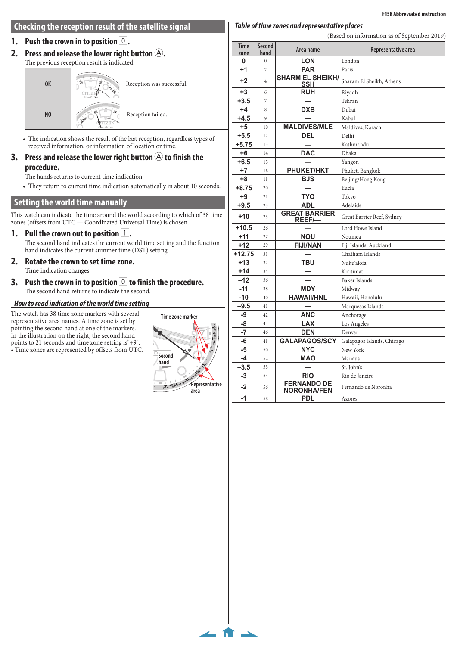#### **Checking the reception result of the satellite signal**

#### **1. Push the crown in to position** 0**.**

**2.** Press and release the lower right button  $\textcircled{A}$ .

The previous reception result is indicated.

| <b>OK</b>      | $\overline{\mathfrak{o}_{\scriptscriptstyle{K}}}$<br>OH<br><b>RA-CAN</b><br>Fco-Driv | Reception was successful. |
|----------------|--------------------------------------------------------------------------------------|---------------------------|
| N <sub>0</sub> | $\overline{o_{k}}$<br>$\overline{w}$<br>- Fine<br>Exo-Drive                          | Reception failed.         |
|                |                                                                                      |                           |

 $\overbrace{\text{Area of the total number of times}}$ <br>• The indication shows the result of the last reception, regardless types of **u**, 01 **H**II The indication shows the result of the last reception, regardered information, or information of location or time.

#### ase the lower right huf **3.** Press and release the lower right button  $\bigcircledA$  to finish the **procedure.**

 $\overline{\text{The hands returns to current time indication}}$ .

• They return to current time indication automatically in about 10 seconds.

### **Setting the world time manually**

This watch can indicate the time around the world according to which of 38 time zones (offsets from UTC — Coordinated Universal Time) is chosen.

- **1.** Pull the crown out to position  $\boxed{1}$ . The second hand indicates the current world time setting and the function hand indicates the current summer time (DST) setting.
- **2. Rotate the crown to set time zone.** Time indication changes.
- **3.** Push the crown in to position  $\boxed{\circ}$  to finish the procedure.<br>The second hand returns to indicate the second.<br>How to read indication of the world time setting The second hand returns to indicate the second.

#### *How to read indication of the world time setting* **RX-TM<sup>E</sup> MAO**  $\overline{\mathbf{r}}$

The watch has 38 time zone markers with several representative area names. A time zone is set by representative area names. A time zone is set by pointing the second hand at one of the markers. In the illustration on the right, the second hand points to 21 seconds and time zone setting is"+9".  $\bullet$  Time zones are represented by offsets from UTC.



 $\leftarrow$  fr  $\rightarrow$ 

|                     |                                      | (Based on information as of September 2019) |                            |  |
|---------------------|--------------------------------------|---------------------------------------------|----------------------------|--|
| <b>Time</b><br>zone | <b>Second</b><br>hand                | Area name                                   | Representative area        |  |
| 0                   | $\overline{0}$                       | <b>LON</b>                                  | London                     |  |
| $+1$                | $\overline{c}$                       | <b>PAR</b>                                  | Paris                      |  |
| $+2$                | $\overline{4}$                       | <b>SHARM EL SHEIKH/</b><br>SSH              | Sharam El Sheikh, Athens   |  |
| $+3$                | 6                                    | <b>RUH</b>                                  | Riyadh                     |  |
| $+3.5$              | 7                                    |                                             | Tehran                     |  |
| $+4$                | 8                                    | <b>DXB</b>                                  | Dubai                      |  |
| $+4.5$              | 9                                    |                                             | Kabul                      |  |
| $+5$                | 10                                   | <b>MALDIVES/MLE</b>                         | Maldives, Karachi          |  |
| $+5.5$              | 12                                   | <b>DEL</b>                                  | Delhi                      |  |
| $+5.75$             | 13                                   |                                             | Kathmandu                  |  |
| $+6$                | 14                                   | <b>DAC</b>                                  | Dhaka                      |  |
| $+6.5$              | 15                                   |                                             | Yangon                     |  |
| $+7$                | 16                                   | <b>PHUKET/HKT</b>                           | Phuket, Bangkok            |  |
| $+8$                | 18                                   | <b>BJS</b>                                  | Beijing/Hong Kong          |  |
| $+8.75$             | 20                                   |                                             | Eucla                      |  |
| $+9$                | 21                                   | <b>TYO</b>                                  | Tokyo                      |  |
| $+9.5$              | 23                                   | <b>ADL</b>                                  | Adelaide                   |  |
| $+10$               | <b>GREAT BARRIER</b><br>25<br>REEF/- |                                             | Great Barrier Reef, Sydney |  |
| $+10.5$             | 26                                   |                                             | Lord Howe Island           |  |
| $+11$               | 27                                   | <b>NOU</b>                                  | Noumea                     |  |
| $+12$               | 29                                   | <b>FIJI/NAN</b>                             | Fiji Islands, Auckland     |  |
| $+12.75$            | 31                                   |                                             | Chatham Islands            |  |
| $+13$               | 32                                   | <b>TBU</b>                                  | Nuku'alofa                 |  |
| $+14$               | 34                                   |                                             | Kiritimati                 |  |
| $-12$               | 36                                   |                                             | Baker Islands              |  |
| $-11$               | 38                                   | <b>MDY</b>                                  | Midway                     |  |
| $-10$               | 40                                   | <b>HAWAII/HNL</b>                           | Hawaii, Honolulu           |  |
| $-9.5$              | 41                                   |                                             | Marquesas Islands          |  |
| -9                  | 42                                   | <b>ANC</b>                                  | Anchorage                  |  |
| -8                  | 44                                   | <b>LAX</b>                                  | Los Angeles                |  |
| -7                  | 46                                   | <b>DEN</b>                                  | Denver                     |  |
| -6                  | 48                                   | <b>GALAPAGOS/SCY</b>                        | Galápagos Islands, Chicago |  |
| -5                  | 50                                   | <b>NYC</b>                                  | New York                   |  |
| -4                  | 52                                   | <b>MAO</b>                                  | Manaus                     |  |
| $-3.5$              | 53                                   |                                             | St. John's                 |  |
| -3                  | 54                                   | <b>RIO</b>                                  | Rio de Janeiro             |  |
| $-2$                | 56                                   | <b>FERNANDO DE</b><br><b>NORONHA/FEN</b>    | Fernando de Noronha        |  |
| $-1$                | 58                                   | PDL                                         | Azores                     |  |

*Table of time zones and representative places*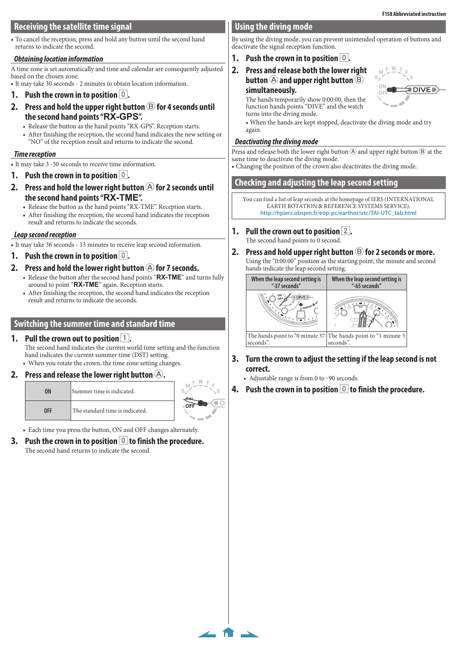### **Receiving the satellite time signal**

• To cancel the reception, press and hold any button until the second hand returns to indicate the second.

#### *Obtaining location information*

A time zone is set automatically and time and calendar are consequently adjusted based on the chosen zone.

• It may take 30 seconds - 2 minutes to obtain location information.

- **1. Push the crown in to position 0.**
- **2.** Press and hold the upper right button  $\circledB$  for 4 seconds until **the second hand points "RX-GPS".**
	- Release the button as the hand points "RX-GPS". Reception starts.
	- After finishing the reception, the second hand indicates the new setting or "NO" of the reception result and returns to indicate the second.

#### *Time reception*

• It may take 3 -30 seconds to receive time information.

- **1. Push the crown in to position**  $\boxed{0}$ .
- **2.** Press and hold the lower right button  $\bigcirc$  for 2 seconds until **the second hand points "RX-TME".**
	- Release the button as the hand points "RX-TME". Reception starts.
	- After finishing the reception, the second hand indicates the reception result and returns to indicate the seconds.

#### *Leap second reception*

• It may take 36 seconds - 13 minutes to receive leap second information.

### **1. Push the crown in to position 0.**

- **2.** Press and hold the lower right button  $\bigcirc$  for 7 seconds.
	- Release the button after the second hand points "**RX-TME**" and turns fully around to point "**RX-TME**" again. Reception starts.
		- After finishing the reception, the second hand indicates the reception result and returns to indicate the seconds.

### **Switching the summer time and standard time**

### **1.** Pull the crown out to position 1.

The second hand indicates the current world time setting and the function hand indicates the current summer time (DST) setting. • When you rotate the crown, the time zone setting changes.

### **2. Press and release the lower right button** A**.**



• Each time you press the button, ON and OFF changes alternately.

**3.** Push the crown in to position  $\vert 0 \vert$  to finish the procedure. The second hand returns to indicate the second.

### **Using the diving mode**

By using the diving mode, you can prevent unintended operation of buttons and deactivate the signal reception function.

### **1.** Push the crown in to position  $\begin{bmatrix} 0 \\ 0 \end{bmatrix}$ .

**2. Press and release both the lower right button** A **and upper right button** B **simultaneously.**

> The hands temporarily show 0:00:00, then the function hands points "DIVE" and the watch turns into the diving mode.

**S S**  $\sqrt{S}$ **ON EDIVE OFF**

**<sup>M</sup> <sup>F</sup> <sup>T</sup> <sup>W</sup> <sup>T</sup>**

• When the hands are kept stopped, deactivate the diving mode and try again.

#### *Deactivating the diving mode*

Press and release both the lower right button  $\overline{\Theta}$  and upper right button  $\overline{\Theta}$  at the same time to deactivate the diving mode.

• Changing the position of the crown also deactivates the diving mode.

### **Checking and adjusting the leap second setting**

You can find a list of leap seconds at the homepage of IERS (INTERNATIONAL EARTH ROTATION & REFERENCE SYSTEMS SERVICE). **http://hpiers.obspm.fr/eop-pc/earthor/utc/TAI-UTC\_tab.html**

- **1.** Pull the crown out to position 2. The second hand points to 0 second. **<sup>P</sup>D<sup>L</sup>**
- The second hand points to 0 second.<br>**2.** Press and hold upper right button  $\bigcircled{B}$  for 2 seconds or more.<br>Using the "0:00:00" position as the starting point, the minute and second Using the "0:00:00" position as the starting point, the minute and second Using the "0:00:00" position as the starting point, the minute and second **NYC MALDIVES**



- **t** the cetting if the lean c **II A WAH 3. Turn the crown to adjust the setting if the leap second is not correct.**
	- Adjustable range is from 0 to -90 seconds.

 $\leftarrow$  fr  $\rightarrow$ 

**4. Push the crown in to position** 0 **to finish the procedure.**